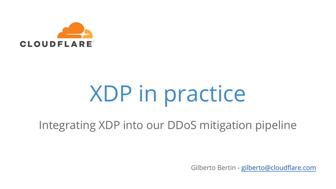

## XDP in practice

Integrating XDP into our DDoS mitigation pipeline

Gilberto Bertin - [gilberto@cloudflare.com](mailto:gilberto@cloudflare.com)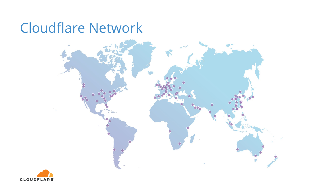#### Cloudflare Network



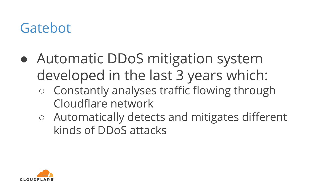#### Gatebot

- Automatic DDoS mitigation system developed in the last 3 years which:
	- Constantly analyses traffic flowing through Cloudflare network
	- Automatically detects and mitigates different kinds of DDoS attacks

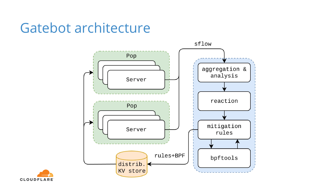#### Gatebot architecture



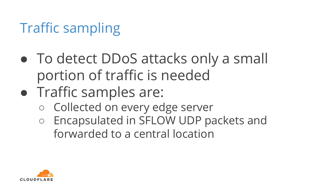#### Traffic sampling

- To detect DDoS attacks only a small portion of traffic is needed
- Traffic samples are:
	- Collected on every edge server
	- Encapsulated in SFLOW UDP packets and forwarded to a central location

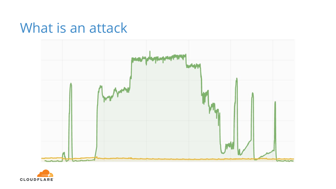#### What is an attack



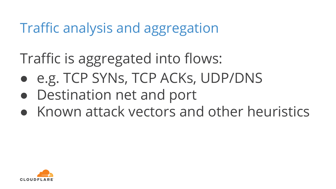#### Traffic analysis and aggregation

Traffic is aggregated into flows:

- e.g. TCP SYNs, TCP ACKs, UDP/DNS
- Destination net and port
- Known attack vectors and other heuristics

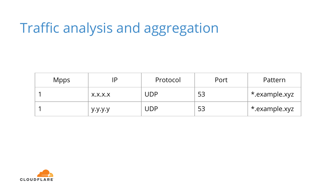#### Traffic analysis and aggregation

| <b>Mpps</b> | IP      | Protocol | Port | Pattern       |
|-------------|---------|----------|------|---------------|
|             | X.X.X.X | UDP      | 53   | *.example.xyz |
|             | y.y.y.y | UDP      | 53   | *.example.xyz |

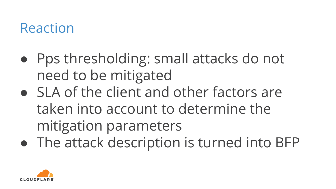#### Reaction

- Pps thresholding: small attacks do not need to be mitigated
- SLA of the client and other factors are taken into account to determine the mitigation parameters
- The attack description is turned into BFP

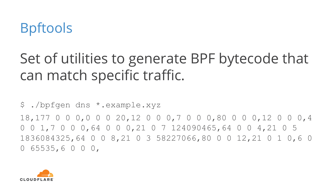

#### Set of utilities to generate BPF bytecode that can match specific traffic.

\$ ./bpfgen dns \*.example.xyz 18,177 0 0 0,0 0 0 20,12 0 0 0,7 0 0 0,80 0 0 0,12 0 0 0,4 0 0 1,7 0 0 0,64 0 0 0,21 0 7 124090465,64 0 0 4,21 0 5 1836084325,64 0 0 8,21 0 3 58227066,80 0 0 12,21 0 1 0,6 0 0 65535,6 0 0 0,

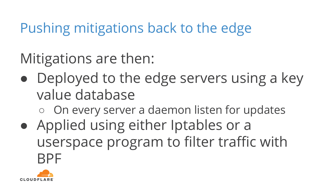Pushing mitigations back to the edge

Mitigations are then:

• Deployed to the edge servers using a key value database

○ On every server a daemon listen for updates

● Applied using either Iptables or a userspace program to filter traffic with **RPF** 

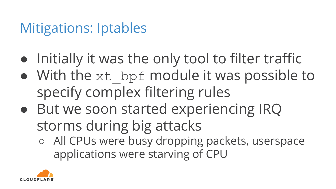#### Mitigations: Iptables

- Initially it was the only tool to filter traffic
- With the xt bpf module it was possible to specify complex filtering rules
- But we soon started experiencing IRQ storms during big attacks
	- All CPUs were busy dropping packets, userspace applications were starving of CPU

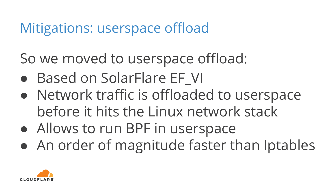#### Mitigations: userspace offload

So we moved to userspace offload:

- Based on SolarFlare EF VI
- Network traffic is offloaded to userspace before it hits the Linux network stack
- Allows to run BPF in userspace
- An order of magnitude faster than Iptables

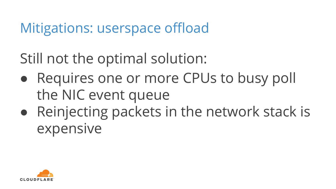#### Mitigations: userspace offload

Still not the optimal solution:

- Requires one or more CPUs to busy poll the NIC event queue
- Reinjecting packets in the network stack is expensive

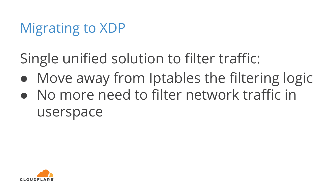Single unified solution to filter traffic:

- Move away from Iptables the filtering logic
- No more need to filter network traffic in userspace

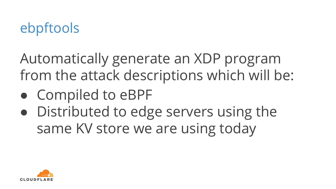#### ebpftools

Automatically generate an XDP program from the attack descriptions which will be:

- Compiled to eBPF
- Distributed to edge servers using the same KV store we are using today

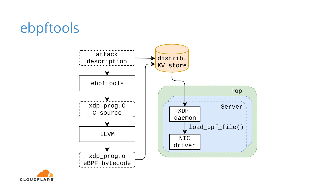#### ebpftools



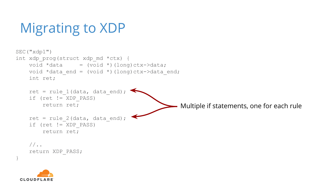```
SEC("xdp1")
int xdp_prog(struct xdp_md *ctx) {
    void *data = (void *)(long)ctx->data;void *data end = (void *)(long)ctx->data end;
     int ret;
    ret = rule 1(data, data end);
     if (ret != XDP_PASS)
         return ret;
    ret = rule 2(data, data end);
     if (ret != XDP_PASS)
         return ret;
    //.
     return XDP_PASS;
                                                   Multiple if statements, one for each rule
```


}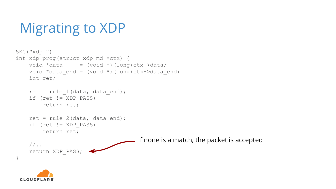```
SEC("xdp1")
int xdp_prog(struct xdp_md *ctx) {
    void *data = (void *)(long)ctx->data;void *data end = (void *)(long)ctx->data end;
     int ret;
    ret = rule 1(data, data end);
     if (ret != XDP_PASS)
         return ret;
    ret = rule 2(data, data end);
     if (ret != XDP_PASS)
         return ret;
     //..
     return XDP_PASS;
}
                                      If none is a match, the packet is accepted
```
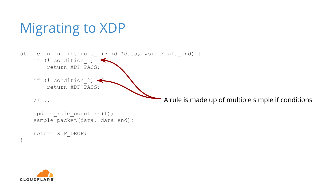static inline int rule 1(void \*data, void \*data end) { if (! condition\_1) return XDP\_PASS;

if (! condition 2) return XDP\_PASS;

```
 // ..
```
A rule is made up of multiple simple if conditions

```
update rule counters(1);
sample packet(data, data end);
```

```
 return XDP_DROP;
```


}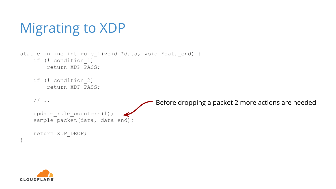```
Migrating to XDP
```

```
static inline int rule 1(void *data, void *data end) {
     if (! condition_1)
         return XDP_PASS;
```

```
 if (! condition_2)
     return XDP_PASS;
```

```
// \dotsupdate rule counters(1);
sample packet(data, data end);
 return XDP_DROP;
                                      Before dropping a packet 2 more actions are needed
```


}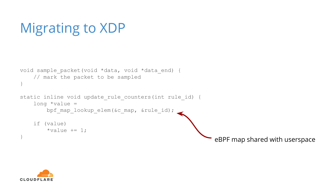```
void sample packet(void *data, void *data end) {
     // mark the packet to be sampled
}
static inline void update rule counters(int rule id) {
    long *value =
        bpf map lookup elem(&c map, &rule id);
     if (value)
        *value += 1;eBPF map shared with userspace
```
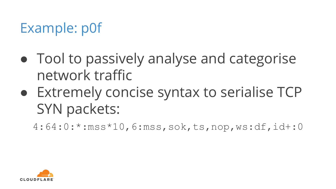#### Example: p0f

- Tool to passively analyse and categorise network traffic
- Extremely concise syntax to serialise TCP SYN packets:
	- 4:64:0:\*:mss\*10,6:mss,sok,ts,nop,ws:df,id+:0

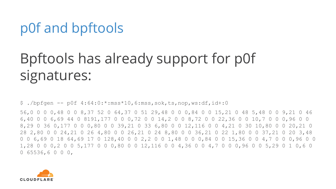#### p0f and bpftools

### Bpftools has already support for p0f signatures:

 $$ ./bp$ fgen -- p0f  $4:64:0.*:mss*10,6:mss, sok,ts,nop,ws:df,id+:0$ 

56,0 0 0 0,48 0 0 8,37 52 0 64,37 0 51 29,48 0 0 0,84 0 0 15,21 0 48 5,48 0 0 9,21 0 46 6,40 0 0 6,69 44 0 8191,177 0 0 0,72 0 0 14,2 0 0 8,72 0 0 22,36 0 0 10,7 0 0 0,96 0 0 8,29 0 36 0,177 0 0 0,80 0 0 39,21 0 33 6,80 0 0 12,116 0 0 4,21 0 30 10,80 0 0 20,21 0 28 2,80 0 0 24,21 0 26 4,80 0 0 26,21 0 24 8,80 0 0 36,21 0 22 1,80 0 0 37,21 0 20 3,48 0 0 6,69 0 18 64,69 17 0 128,40 0 0 2,2 0 0 1,48 0 0 0,84 0 0 15,36 0 0 4,7 0 0 0,96 0 0 1,28 0 0 0,2 0 0 5,177 0 0 0,80 0 0 12,116 0 0 4,36 0 0 4,7 0 0 0,96 0 0 5,29 0 1 0,6 0 0 65536,6 0 0 0,

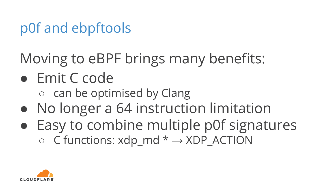#### p0f and ebpftools

Moving to eBPF brings many benefits:

#### ● Emit C code

○ can be optimised by Clang

- No longer a 64 instruction limitation
- Easy to combine multiple p0f signatures  $\circ$  C functions: xdp\_md  $* \rightarrow$  XDP\_ACTION

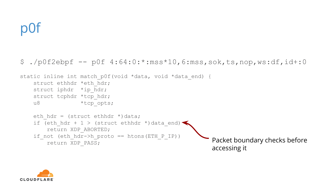#### $$./p0f2ebpf -- p0f 4:64:0.*:mss*10,6:mss, sok,ts,nop,ws:df, id+:0$

```
static inline int match p0f(void *data, void *data end) {
   struct ethhdr *eth hdr;
   struct iphdr *ip hdr;
   struct tcphdr *tcp hdr;
   u8 *tcp opts;
   eth hdr = (struct ethhdr *)data;
   if (eth hdr + 1 > (struct ethhdr *)data end)*
        return XDP_ABORTED;
   if not (eth hdr-\lambda h proto == htons(ETH P IP))
       return XDP PASS; Packet boundary checks before
                                                     accessing it
```
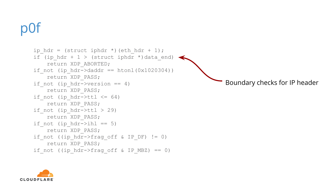```
ip hdr = (struct iphdr *)(eth hdr + 1);
if (ip hdr + 1 > (struct iphdr *)data end)
     return XDP_ABORTED;
if not (ip hdr->daddr == htonl(0x1020304))
     return XDP_PASS;
if not (ip hdr->version == 4)
    return XDP_PASS;
if not (ip hdr->ttl \leq 64)
     return XDP_PASS;
 if_not (ip_hdr->ttl > 29)
     return XDP_PASS;
if not (ip_hdr->ihl == 5) return XDP_PASS;
 if_not ((ip_hdr->frag_off & IP_DF) != 0)
     return XDP_PASS;
if not ((ip hdr->frag off & IP MBZ) == 0)
                                                           Boundary checks for IP header
```
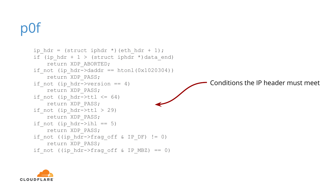```
ip hdr = (struct iphdr *)(eth hdr + 1);
if (ip hdr + 1 > (struct iphdr *)data end)
     return XDP_ABORTED;
if not (ip hdr->daddr == htonl(0x1020304))
     return XDP_PASS;
if not (ip hdr->version == 4)
    return XDP_PASS;
if not (ip hdr->ttl \leq 64)
     return XDP_PASS;
if not (ip hdr-\text{th} > 29)
     return XDP_PASS;
if not (ip_hdr->ihl == 5) return XDP_PASS;
 if_not ((ip_hdr->frag_off & IP_DF) != 0)
     return XDP_PASS;
if not ((ip hdr->frag off & IP MBZ) == 0)
                                                       Conditions the IP header must meet
```
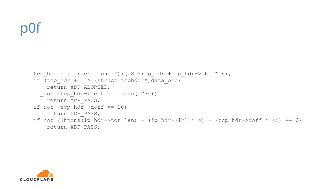```
tcp_hdr = (struct tcphdr*)((u8 *)ip_hdr + ip hdr->ihl * 4);
if (tcp hdr + 1 > (struct tcphdr *)data end)
     return XDP_ABORTED;
 if_not (tcp_hdr->dest == htons(1234))
    return XDP_PASS;
if not (tcp hdr->doff == 10)
     return XDP_PASS;
if not ((htons(ip hdr->tot len) - (ip hdr->ihl * 4) - (tcp hdr->doff * 4)) == 0)
     return XDP_PASS;
```
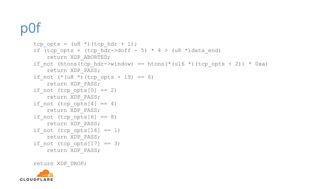```
tcp opts = (u8 *)(top hdr + 1);if (tcp opts + (tcp hdr->doff - 5) * 4 > (u8 *)data end)
    return XDP_ABORTED;
if not (htons(tcp hdr->window) == htons(*(u16 *)(tcp opts + 2)) * 0xa)
     return XDP_PASS;
if_not (* (u8 *)(tcp\_opts + 19) == 6) return XDP_PASS;
if not (tcp opts[0] == 2) return XDP_PASS;
if_not (tcp\_opts[4] == 4) return XDP_PASS;
if not (tcp opts[6] == 8) return XDP_PASS;
if not (tcp_opts[16] == 1) return XDP_PASS;
if not (tcp opts[17] == 3) return XDP_PASS;
```
return XDP\_DROP;

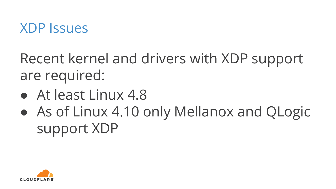

Recent kernel and drivers with XDP support are required:

- At least Linux 4.8
- As of Linux 4.10 only Mellanox and QLogic support XDP

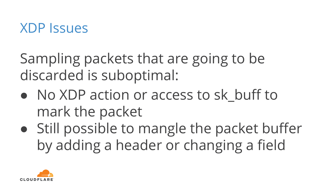

Sampling packets that are going to be discarded is suboptimal:

- No XDP action or access to sk buff to mark the packet
- Still possible to mangle the packet buffer by adding a header or changing a field

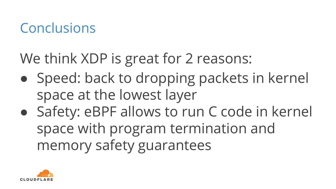#### Conclusions

We think XDP is great for 2 reasons:

- Speed: back to dropping packets in kernel space at the lowest layer
- Safety: eBPF allows to run C code in kernel space with program termination and memory safety guarantees